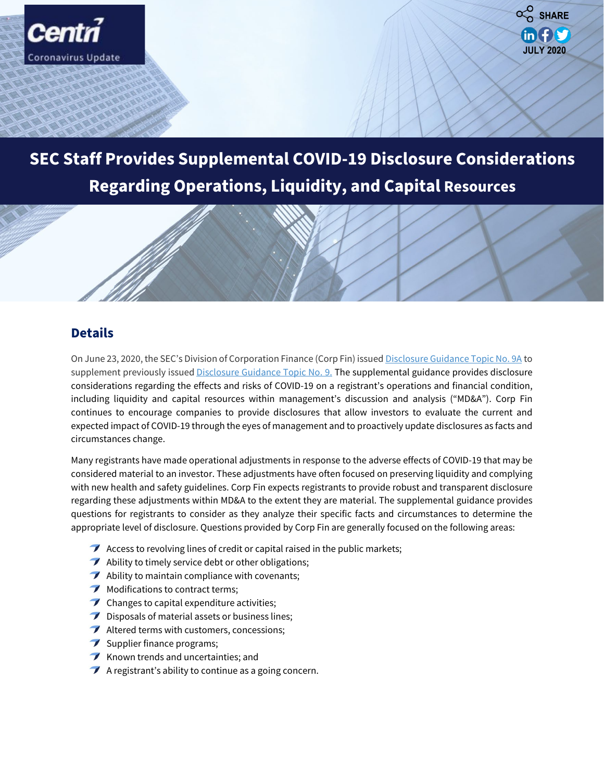



## **SEC Staff Provides Supplemental COVID-19 Disclosure Considerations Regarding Operations, Liquidity, and Capital Resources**

**Accounting, Reporting and Other Related** 

**Constitute** 

## **Details**

On June 23, 2020, the SEC's Division of Corporation Finance (Corp Fin) issued [Disclosure Guidance Topic No. 9A](https://www.sec.gov/corpfin/covid-19-disclosure-considerations) to supplement previously issued [Disclosure Guidance Topic No. 9.](https://www.sec.gov/corpfin/coronavirus-covid-19) The supplemental guidance provides disclosure considerations regarding the effects and risks of COVID-19 on a registrant's operations and financial condition, including liquidity and capital resources within management's discussion and analysis ("MD&A"). Corp Fin continues to encourage companies to provide disclosures that allow investors to evaluate the current and expected impact of COVID-19 through the eyes of management and to proactively update disclosures as facts and circumstances change.

Many registrants have made operational adjustments in response to the adverse effects of COVID-19 that may be considered material to an investor. These adjustments have often focused on preserving liquidity and complying with new health and safety guidelines. Corp Fin expects registrants to provide robust and transparent disclosure regarding these adjustments within MD&A to the extent they are material. The supplemental guidance provides questions for registrants to consider as they analyze their specific facts and circumstances to determine the appropriate level of disclosure. Questions provided by Corp Fin are generally focused on the following areas:

- $\blacktriangleright$  Access to revolving lines of credit or capital raised in the public markets;
- $\rightarrow$  Ability to timely service debt or other obligations;
- $\blacktriangleright$  Ability to maintain compliance with covenants;
- $\blacktriangleright$  Modifications to contract terms;
- $\triangledown$  Changes to capital expenditure activities;
- $\triangledown$  Disposals of material assets or business lines;
- Altered terms with customers, concessions;
- $\blacktriangleright$  Supplier finance programs;
- $\blacktriangleright$  Known trends and uncertainties; and
- $\blacktriangleright$  A registrant's ability to continue as a going concern.